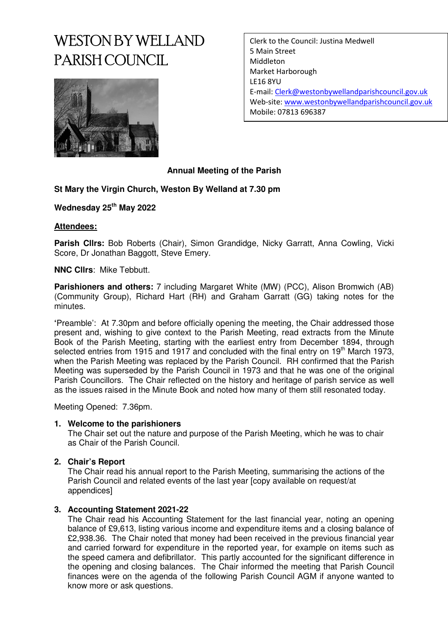# WESTON BY WELLAND PARISH COUNCIL



Clerk to the Council: Justina Medwell 5 Main Street Middleton Market Harborough LE16 8YU E-mail: Clerk@westonbywellandparishcouncil.gov.uk Web-site: www.westonbywellandparishcouncil.gov.uk Mobile: 07813 696387

### **Annual Meeting of the Parish**

#### **St Mary the Virgin Church, Weston By Welland at 7.30 pm**

**Wednesday 25th May 2022** 

#### **Attendees:**

**Parish Cllrs:** Bob Roberts (Chair), Simon Grandidge, Nicky Garratt, Anna Cowling, Vicki Score, Dr Jonathan Baggott, Steve Emery.

**NNC Cllrs**: Mike Tebbutt.

**Parishioners and others:** 7 including Margaret White (MW) (PCC), Alison Bromwich (AB) (Community Group), Richard Hart (RH) and Graham Garratt (GG) taking notes for the minutes.

**'**Preamble': At 7.30pm and before officially opening the meeting, the Chair addressed those present and, wishing to give context to the Parish Meeting, read extracts from the Minute Book of the Parish Meeting, starting with the earliest entry from December 1894, through selected entries from 1915 and 1917 and concluded with the final entry on 19<sup>th</sup> March 1973, when the Parish Meeting was replaced by the Parish Council. RH confirmed that the Parish Meeting was superseded by the Parish Council in 1973 and that he was one of the original Parish Councillors. The Chair reflected on the history and heritage of parish service as well as the issues raised in the Minute Book and noted how many of them still resonated today.

Meeting Opened: 7.36pm.

#### **1. Welcome to the parishioners**

The Chair set out the nature and purpose of the Parish Meeting, which he was to chair as Chair of the Parish Council.

#### **2. Chair's Report**

The Chair read his annual report to the Parish Meeting, summarising the actions of the Parish Council and related events of the last year [copy available on request/at appendices]

#### **3. Accounting Statement 2021-22**

The Chair read his Accounting Statement for the last financial year, noting an opening balance of £9,613, listing various income and expenditure items and a closing balance of £2,938.36. The Chair noted that money had been received in the previous financial year and carried forward for expenditure in the reported year, for example on items such as the speed camera and defibrillator. This partly accounted for the significant difference in the opening and closing balances. The Chair informed the meeting that Parish Council finances were on the agenda of the following Parish Council AGM if anyone wanted to know more or ask questions.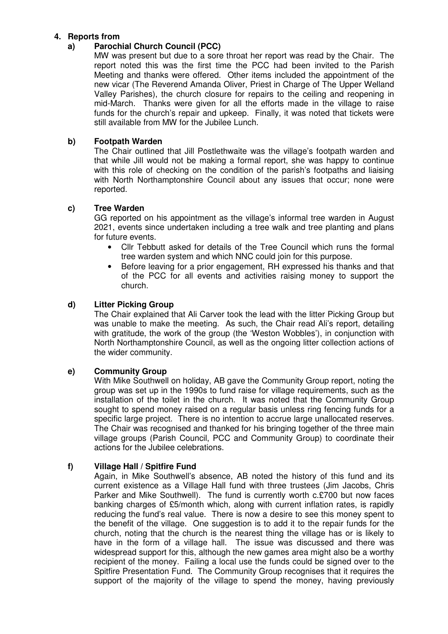#### **4. Reports from**

#### **a) Parochial Church Council (PCC)**

MW was present but due to a sore throat her report was read by the Chair. The report noted this was the first time the PCC had been invited to the Parish Meeting and thanks were offered. Other items included the appointment of the new vicar (The Reverend Amanda Oliver, Priest in Charge of The Upper Welland Valley Parishes), the church closure for repairs to the ceiling and reopening in mid-March. Thanks were given for all the efforts made in the village to raise funds for the church's repair and upkeep. Finally, it was noted that tickets were still available from MW for the Jubilee Lunch.

#### **b) Footpath Warden**

The Chair outlined that Jill Postlethwaite was the village's footpath warden and that while Jill would not be making a formal report, she was happy to continue with this role of checking on the condition of the parish's footpaths and liaising with North Northamptonshire Council about any issues that occur; none were reported.

#### **c) Tree Warden**

GG reported on his appointment as the village's informal tree warden in August 2021, events since undertaken including a tree walk and tree planting and plans for future events.

- Cllr Tebbutt asked for details of the Tree Council which runs the formal tree warden system and which NNC could join for this purpose.
- Before leaving for a prior engagement, RH expressed his thanks and that of the PCC for all events and activities raising money to support the church.

#### **d) Litter Picking Group**

The Chair explained that Ali Carver took the lead with the litter Picking Group but was unable to make the meeting. As such, the Chair read Ali's report, detailing with gratitude, the work of the group (the 'Weston Wobbles'), in conjunction with North Northamptonshire Council, as well as the ongoing litter collection actions of the wider community.

#### **e) Community Group**

With Mike Southwell on holiday, AB gave the Community Group report, noting the group was set up in the 1990s to fund raise for village requirements, such as the installation of the toilet in the church. It was noted that the Community Group sought to spend money raised on a regular basis unless ring fencing funds for a specific large project. There is no intention to accrue large unallocated reserves. The Chair was recognised and thanked for his bringing together of the three main village groups (Parish Council, PCC and Community Group) to coordinate their actions for the Jubilee celebrations.

#### **f) Village Hall / Spitfire Fund**

Again, in Mike Southwell's absence, AB noted the history of this fund and its current existence as a Village Hall fund with three trustees (Jim Jacobs, Chris Parker and Mike Southwell). The fund is currently worth c.£700 but now faces banking charges of £5/month which, along with current inflation rates, is rapidly reducing the fund's real value. There is now a desire to see this money spent to the benefit of the village. One suggestion is to add it to the repair funds for the church, noting that the church is the nearest thing the village has or is likely to have in the form of a village hall. The issue was discussed and there was widespread support for this, although the new games area might also be a worthy recipient of the money. Failing a local use the funds could be signed over to the Spitfire Presentation Fund. The Community Group recognises that it requires the support of the majority of the village to spend the money, having previously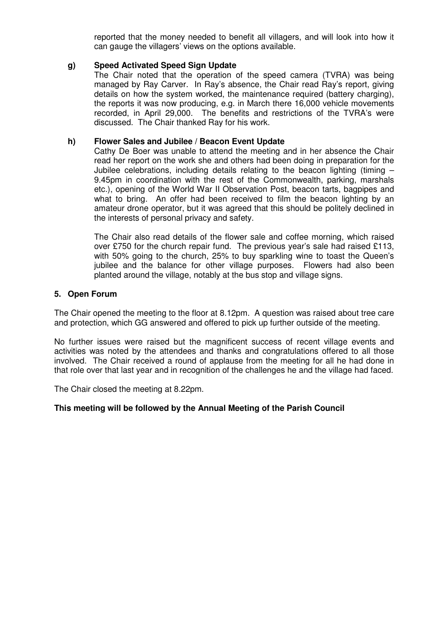reported that the money needed to benefit all villagers, and will look into how it can gauge the villagers' views on the options available.

#### **g) Speed Activated Speed Sign Update**

The Chair noted that the operation of the speed camera (TVRA) was being managed by Ray Carver. In Ray's absence, the Chair read Ray's report, giving details on how the system worked, the maintenance required (battery charging), the reports it was now producing, e.g. in March there 16,000 vehicle movements recorded, in April 29,000. The benefits and restrictions of the TVRA's were discussed. The Chair thanked Ray for his work.

#### **h) Flower Sales and Jubilee / Beacon Event Update**

Cathy De Boer was unable to attend the meeting and in her absence the Chair read her report on the work she and others had been doing in preparation for the Jubilee celebrations, including details relating to the beacon lighting (timing  $-$ 9.45pm in coordination with the rest of the Commonwealth, parking, marshals etc.), opening of the World War II Observation Post, beacon tarts, bagpipes and what to bring. An offer had been received to film the beacon lighting by an amateur drone operator, but it was agreed that this should be politely declined in the interests of personal privacy and safety.

The Chair also read details of the flower sale and coffee morning, which raised over £750 for the church repair fund. The previous year's sale had raised £113, with 50% going to the church, 25% to buy sparkling wine to toast the Queen's jubilee and the balance for other village purposes. Flowers had also been planted around the village, notably at the bus stop and village signs.

#### **5. Open Forum**

The Chair opened the meeting to the floor at 8.12pm. A question was raised about tree care and protection, which GG answered and offered to pick up further outside of the meeting.

No further issues were raised but the magnificent success of recent village events and activities was noted by the attendees and thanks and congratulations offered to all those involved. The Chair received a round of applause from the meeting for all he had done in that role over that last year and in recognition of the challenges he and the village had faced.

The Chair closed the meeting at 8.22pm.

#### **This meeting will be followed by the Annual Meeting of the Parish Council**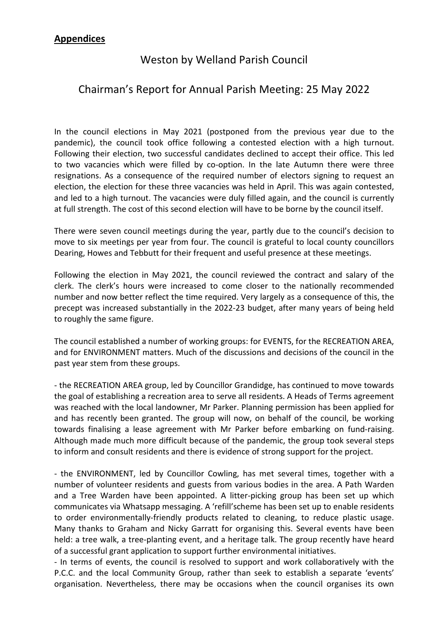# **Appendices**

# Weston by Welland Parish Council

# Chairman's Report for Annual Parish Meeting: 25 May 2022

In the council elections in May 2021 (postponed from the previous year due to the pandemic), the council took office following a contested election with a high turnout. Following their election, two successful candidates declined to accept their office. This led to two vacancies which were filled by co-option. In the late Autumn there were three resignations. As a consequence of the required number of electors signing to request an election, the election for these three vacancies was held in April. This was again contested, and led to a high turnout. The vacancies were duly filled again, and the council is currently at full strength. The cost of this second election will have to be borne by the council itself.

There were seven council meetings during the year, partly due to the council's decision to move to six meetings per year from four. The council is grateful to local county councillors Dearing, Howes and Tebbutt for their frequent and useful presence at these meetings.

Following the election in May 2021, the council reviewed the contract and salary of the clerk. The clerk's hours were increased to come closer to the nationally recommended number and now better reflect the time required. Very largely as a consequence of this, the precept was increased substantially in the 2022-23 budget, after many years of being held to roughly the same figure.

The council established a number of working groups: for EVENTS, for the RECREATION AREA, and for ENVIRONMENT matters. Much of the discussions and decisions of the council in the past year stem from these groups.

- the RECREATION AREA group, led by Councillor Grandidge, has continued to move towards the goal of establishing a recreation area to serve all residents. A Heads of Terms agreement was reached with the local landowner, Mr Parker. Planning permission has been applied for and has recently been granted. The group will now, on behalf of the council, be working towards finalising a lease agreement with Mr Parker before embarking on fund-raising. Although made much more difficult because of the pandemic, the group took several steps to inform and consult residents and there is evidence of strong support for the project.

- the ENVIRONMENT, led by Councillor Cowling, has met several times, together with a number of volunteer residents and guests from various bodies in the area. A Path Warden and a Tree Warden have been appointed. A litter-picking group has been set up which communicates via Whatsapp messaging. A 'refill'scheme has been set up to enable residents to order environmentally-friendly products related to cleaning, to reduce plastic usage. Many thanks to Graham and Nicky Garratt for organising this. Several events have been held: a tree walk, a tree-planting event, and a heritage talk. The group recently have heard of a successful grant application to support further environmental initiatives.

- In terms of events, the council is resolved to support and work collaboratively with the P.C.C. and the local Community Group, rather than seek to establish a separate 'events' organisation. Nevertheless, there may be occasions when the council organises its own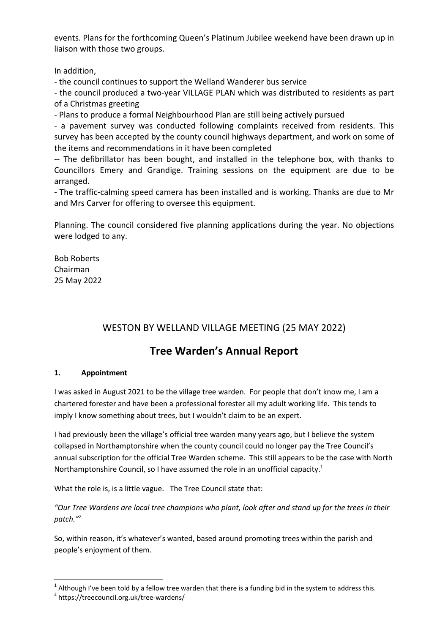events. Plans for the forthcoming Queen's Platinum Jubilee weekend have been drawn up in liaison with those two groups.

In addition,

- the council continues to support the Welland Wanderer bus service

- the council produced a two-year VILLAGE PLAN which was distributed to residents as part of a Christmas greeting

- Plans to produce a formal Neighbourhood Plan are still being actively pursued

- a pavement survey was conducted following complaints received from residents. This survey has been accepted by the county council highways department, and work on some of the items and recommendations in it have been completed

-- The defibrillator has been bought, and installed in the telephone box, with thanks to Councillors Emery and Grandige. Training sessions on the equipment are due to be arranged.

- The traffic-calming speed camera has been installed and is working. Thanks are due to Mr and Mrs Carver for offering to oversee this equipment.

Planning. The council considered five planning applications during the year. No objections were lodged to any.

Bob Roberts Chairman 25 May 2022

# WESTON BY WELLAND VILLAGE MEETING (25 MAY 2022)

# **Tree Warden's Annual Report**

#### **1. Appointment**

I was asked in August 2021 to be the village tree warden. For people that don't know me, I am a chartered forester and have been a professional forester all my adult working life. This tends to imply I know something about trees, but I wouldn't claim to be an expert.

I had previously been the village's official tree warden many years ago, but I believe the system collapsed in Northamptonshire when the county council could no longer pay the Tree Council's annual subscription for the official Tree Warden scheme. This still appears to be the case with North Northamptonshire Council, so I have assumed the role in an unofficial capacity.<sup>1</sup>

What the role is, is a little vague. The Tree Council state that:

*"Our Tree Wardens are local tree champions who plant, look after and stand up for the trees in their patch."<sup>2</sup>*

So, within reason, it's whatever's wanted, based around promoting trees within the parish and people's enjoyment of them.

 $\overline{a}$ 

 $^1$  Although I've been told by a fellow tree warden that there is a funding bid in the system to address this.

<sup>&</sup>lt;sup>2</sup> https://treecouncil.org.uk/tree-wardens/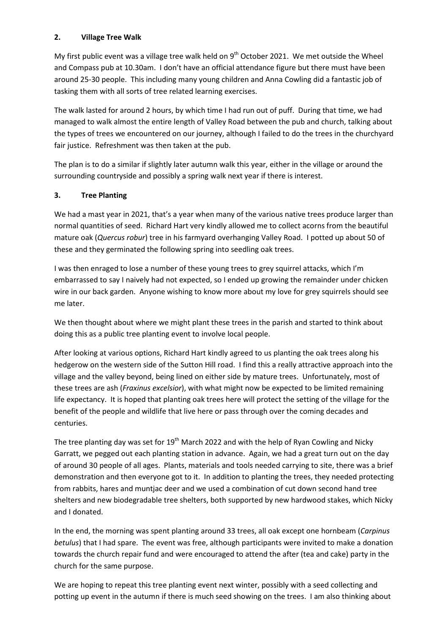#### **2. Village Tree Walk**

My first public event was a village tree walk held on  $9<sup>th</sup>$  October 2021. We met outside the Wheel and Compass pub at 10.30am. I don't have an official attendance figure but there must have been around 25-30 people. This including many young children and Anna Cowling did a fantastic job of tasking them with all sorts of tree related learning exercises.

The walk lasted for around 2 hours, by which time I had run out of puff. During that time, we had managed to walk almost the entire length of Valley Road between the pub and church, talking about the types of trees we encountered on our journey, although I failed to do the trees in the churchyard fair justice. Refreshment was then taken at the pub.

The plan is to do a similar if slightly later autumn walk this year, either in the village or around the surrounding countryside and possibly a spring walk next year if there is interest.

#### **3. Tree Planting**

We had a mast year in 2021, that's a year when many of the various native trees produce larger than normal quantities of seed. Richard Hart very kindly allowed me to collect acorns from the beautiful mature oak (*Quercus robur*) tree in his farmyard overhanging Valley Road. I potted up about 50 of these and they germinated the following spring into seedling oak trees.

I was then enraged to lose a number of these young trees to grey squirrel attacks, which I'm embarrassed to say I naively had not expected, so I ended up growing the remainder under chicken wire in our back garden. Anyone wishing to know more about my love for grey squirrels should see me later.

We then thought about where we might plant these trees in the parish and started to think about doing this as a public tree planting event to involve local people.

After looking at various options, Richard Hart kindly agreed to us planting the oak trees along his hedgerow on the western side of the Sutton Hill road. I find this a really attractive approach into the village and the valley beyond, being lined on either side by mature trees. Unfortunately, most of these trees are ash (*Fraxinus excelsior*), with what might now be expected to be limited remaining life expectancy. It is hoped that planting oak trees here will protect the setting of the village for the benefit of the people and wildlife that live here or pass through over the coming decades and centuries.

The tree planting day was set for  $19<sup>th</sup>$  March 2022 and with the help of Ryan Cowling and Nicky Garratt, we pegged out each planting station in advance. Again, we had a great turn out on the day of around 30 people of all ages. Plants, materials and tools needed carrying to site, there was a brief demonstration and then everyone got to it. In addition to planting the trees, they needed protecting from rabbits, hares and muntjac deer and we used a combination of cut down second hand tree shelters and new biodegradable tree shelters, both supported by new hardwood stakes, which Nicky and I donated.

In the end, the morning was spent planting around 33 trees, all oak except one hornbeam (*Carpinus betulus*) that I had spare. The event was free, although participants were invited to make a donation towards the church repair fund and were encouraged to attend the after (tea and cake) party in the church for the same purpose.

We are hoping to repeat this tree planting event next winter, possibly with a seed collecting and potting up event in the autumn if there is much seed showing on the trees. I am also thinking about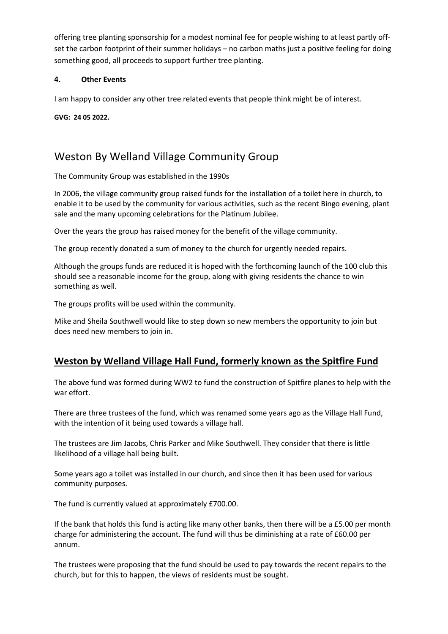offering tree planting sponsorship for a modest nominal fee for people wishing to at least partly offset the carbon footprint of their summer holidays – no carbon maths just a positive feeling for doing something good, all proceeds to support further tree planting.

#### **4. Other Events**

I am happy to consider any other tree related events that people think might be of interest.

**GVG: 24 05 2022.** 

# Weston By Welland Village Community Group

The Community Group was established in the 1990s

In 2006, the village community group raised funds for the installation of a toilet here in church, to enable it to be used by the community for various activities, such as the recent Bingo evening, plant sale and the many upcoming celebrations for the Platinum Jubilee.

Over the years the group has raised money for the benefit of the village community.

The group recently donated a sum of money to the church for urgently needed repairs.

Although the groups funds are reduced it is hoped with the forthcoming launch of the 100 club this should see a reasonable income for the group, along with giving residents the chance to win something as well.

The groups profits will be used within the community.

Mike and Sheila Southwell would like to step down so new members the opportunity to join but does need new members to join in.

# **Weston by Welland Village Hall Fund, formerly known as the Spitfire Fund**

The above fund was formed during WW2 to fund the construction of Spitfire planes to help with the war effort.

There are three trustees of the fund, which was renamed some years ago as the Village Hall Fund, with the intention of it being used towards a village hall.

The trustees are Jim Jacobs, Chris Parker and Mike Southwell. They consider that there is little likelihood of a village hall being built.

Some years ago a toilet was installed in our church, and since then it has been used for various community purposes.

The fund is currently valued at approximately £700.00.

If the bank that holds this fund is acting like many other banks, then there will be a £5.00 per month charge for administering the account. The fund will thus be diminishing at a rate of £60.00 per annum.

The trustees were proposing that the fund should be used to pay towards the recent repairs to the church, but for this to happen, the views of residents must be sought.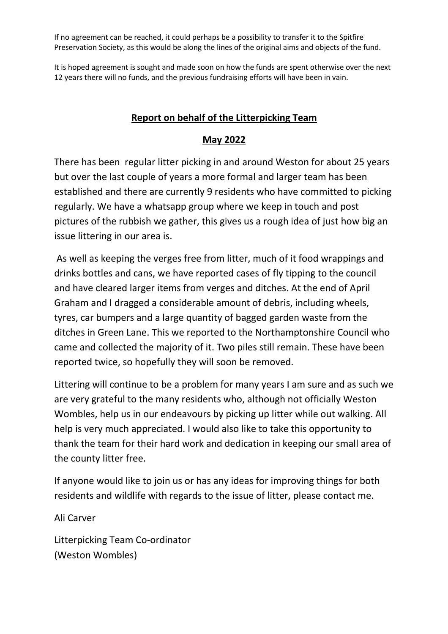If no agreement can be reached, it could perhaps be a possibility to transfer it to the Spitfire Preservation Society, as this would be along the lines of the original aims and objects of the fund.

It is hoped agreement is sought and made soon on how the funds are spent otherwise over the next 12 years there will no funds, and the previous fundraising efforts will have been in vain.

### **Report on behalf of the Litterpicking Team**

### **May 2022**

There has been regular litter picking in and around Weston for about 25 years but over the last couple of years a more formal and larger team has been established and there are currently 9 residents who have committed to picking regularly. We have a whatsapp group where we keep in touch and post pictures of the rubbish we gather, this gives us a rough idea of just how big an issue littering in our area is.

 As well as keeping the verges free from litter, much of it food wrappings and drinks bottles and cans, we have reported cases of fly tipping to the council and have cleared larger items from verges and ditches. At the end of April Graham and I dragged a considerable amount of debris, including wheels, tyres, car bumpers and a large quantity of bagged garden waste from the ditches in Green Lane. This we reported to the Northamptonshire Council who came and collected the majority of it. Two piles still remain. These have been reported twice, so hopefully they will soon be removed.

Littering will continue to be a problem for many years I am sure and as such we are very grateful to the many residents who, although not officially Weston Wombles, help us in our endeavours by picking up litter while out walking. All help is very much appreciated. I would also like to take this opportunity to thank the team for their hard work and dedication in keeping our small area of the county litter free.

If anyone would like to join us or has any ideas for improving things for both residents and wildlife with regards to the issue of litter, please contact me.

Ali Carver

Litterpicking Team Co-ordinator (Weston Wombles)